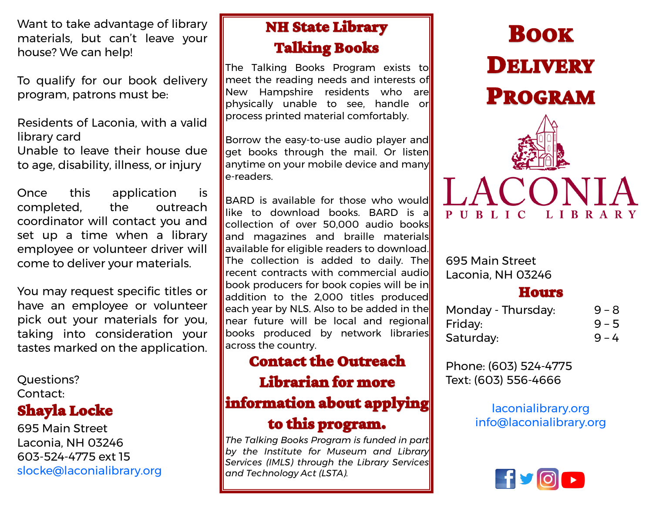Want to take advantage of library materials, but can't leave your house? We can help!

To qualify for our book delivery program, patrons must be:

Residents of Laconia, with a valid library card

Unable to leave their house due to age, disability, illness, or injury

Once this application is completed, the outreach coordinator will contact you and set up a time when a library employee or volunteer driver will come to deliver your materials.

You may request specific titles or have an employee or volunteer pick out your materials for you, taking into consideration your tastes marked on the application.

Questions? Contact:

## Shayla Locke

695 Main Street Laconia, NH 03246 603-524-4775 ext 15 slocke@laconialibrary.org

## NH State Library Talking Books

The Talking Books Program exists to meet the reading needs and interests of New Hampshire residents who are physically unable to see, handle or process printed material comfortably.

Borrow the easy-to-use audio player and get books through the mail. Or listen anytime on your mobile device and many e-readers.

BARD is available for those who would like to download books. BARD is a collection of over 50,000 audio books and magazines and braille materials available for eligible readers to download. The collection is added to daily. The recent contracts with commercial audio book producers for book copies will be in addition to the 2.000 titles produced each year by NLS. Also to be added in the near future will be local and regional books produced by network libraries across the country.

## Contact the Outreach

### Librarian for more

## information about applying

#### to this program.

*The Talking Books Program is funded in part by the Institute for Museum and Library Services (IMLS) through the Library Services and Technology Act (LSTA).* 

# BOOK DELIVERY PROGRAM



695 Main Street Laconia, NH 03246

#### Hours

| Monday - Thursday: | $9 - 8$ |
|--------------------|---------|
| Friday:            | $9 - 5$ |
| Saturday:          | $9 - 4$ |

Phone: (603) 524-4775 Text: (603) 556-4666

> laconialibrary.org info@laconialibrary.org